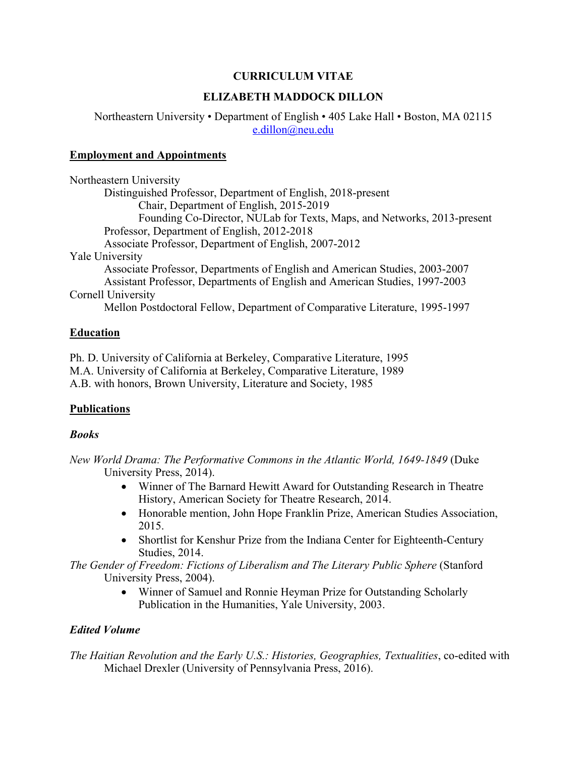# **CURRICULUM VITAE**

# **ELIZABETH MADDOCK DILLON**

Northeastern University • Department of English • 405 Lake Hall • Boston, MA 02115 e.dillon@neu.edu

# **Employment and Appointments**

| Northeastern University                                                     |
|-----------------------------------------------------------------------------|
| Distinguished Professor, Department of English, 2018-present                |
| Chair, Department of English, 2015-2019                                     |
| Founding Co-Director, NULab for Texts, Maps, and Networks, 2013-present     |
| Professor, Department of English, 2012-2018                                 |
| Associate Professor, Department of English, 2007-2012                       |
| <b>Yale University</b>                                                      |
| Associate Professor, Departments of English and American Studies, 2003-2007 |
| Assistant Professor, Departments of English and American Studies, 1997-2003 |
| Cornell University                                                          |
| Mellon Postdoctoral Fellow, Department of Comparative Literature, 1995-1997 |

# **Education**

Ph. D. University of California at Berkeley, Comparative Literature, 1995 M.A. University of California at Berkeley, Comparative Literature, 1989 A.B. with honors, Brown University, Literature and Society, 1985

# **Publications**

#### *Books*

*New World Drama: The Performative Commons in the Atlantic World, 1649-1849* (Duke University Press, 2014).

- Winner of The Barnard Hewitt Award for Outstanding Research in Theatre History, American Society for Theatre Research, 2014.
- Honorable mention, John Hope Franklin Prize, American Studies Association, 2015.
- Shortlist for Kenshur Prize from the Indiana Center for Eighteenth-Century Studies, 2014.
- *The Gender of Freedom: Fictions of Liberalism and The Literary Public Sphere* (Stanford University Press, 2004).
	- Winner of Samuel and Ronnie Heyman Prize for Outstanding Scholarly Publication in the Humanities, Yale University, 2003.

# *Edited Volume*

*The Haitian Revolution and the Early U.S.: Histories, Geographies, Textualities*, co-edited with Michael Drexler (University of Pennsylvania Press, 2016).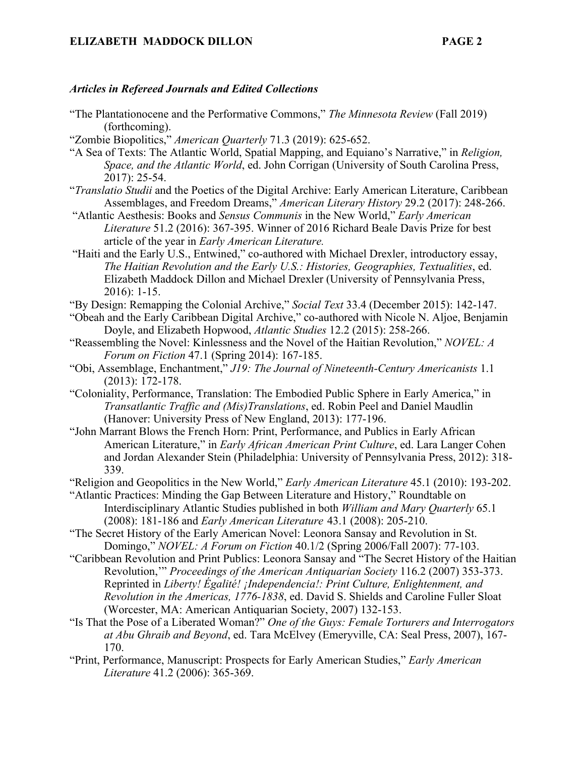#### *Articles in Refereed Journals and Edited Collections*

- "The Plantationocene and the Performative Commons," *The Minnesota Review* (Fall 2019) (forthcoming).
- "Zombie Biopolitics," *American Quarterly* 71.3 (2019): 625-652.
- "A Sea of Texts: The Atlantic World, Spatial Mapping, and Equiano's Narrative," in *Religion, Space, and the Atlantic World*, ed. John Corrigan (University of South Carolina Press, 2017): 25-54.
- "*Translatio Studii* and the Poetics of the Digital Archive: Early American Literature, Caribbean Assemblages, and Freedom Dreams," *American Literary History* 29.2 (2017): 248-266.
- "Atlantic Aesthesis: Books and *Sensus Communis* in the New World," *Early American Literature* 51.2 (2016): 367-395. Winner of 2016 Richard Beale Davis Prize for best article of the year in *Early American Literature.*
- "Haiti and the Early U.S., Entwined," co-authored with Michael Drexler, introductory essay, *The Haitian Revolution and the Early U.S.: Histories, Geographies, Textualities*, ed. Elizabeth Maddock Dillon and Michael Drexler (University of Pennsylvania Press, 2016): 1-15.
- "By Design: Remapping the Colonial Archive," *Social Text* 33.4 (December 2015): 142-147.
- "Obeah and the Early Caribbean Digital Archive," co-authored with Nicole N. Aljoe, Benjamin Doyle, and Elizabeth Hopwood, *Atlantic Studies* 12.2 (2015): 258-266.
- "Reassembling the Novel: Kinlessness and the Novel of the Haitian Revolution," *NOVEL: A Forum on Fiction* 47.1 (Spring 2014): 167-185.
- "Obi, Assemblage, Enchantment," *J19: The Journal of Nineteenth-Century Americanists* 1.1 (2013): 172-178.
- "Coloniality, Performance, Translation: The Embodied Public Sphere in Early America," in *Transatlantic Traffic and (Mis)Translations*, ed. Robin Peel and Daniel Maudlin (Hanover: University Press of New England, 2013): 177-196.
- "John Marrant Blows the French Horn: Print, Performance, and Publics in Early African American Literature," in *Early African American Print Culture*, ed. Lara Langer Cohen and Jordan Alexander Stein (Philadelphia: University of Pennsylvania Press, 2012): 318- 339.
- "Religion and Geopolitics in the New World," *Early American Literature* 45.1 (2010): 193-202.
- "Atlantic Practices: Minding the Gap Between Literature and History," Roundtable on Interdisciplinary Atlantic Studies published in both *William and Mary Quarterly* 65.1 (2008): 181-186 and *Early American Literature* 43.1 (2008): 205-210.
- "The Secret History of the Early American Novel: Leonora Sansay and Revolution in St. Domingo," *NOVEL: A Forum on Fiction* 40.1/2 (Spring 2006/Fall 2007): 77-103.
- "Caribbean Revolution and Print Publics: Leonora Sansay and "The Secret History of the Haitian Revolution,'" *Proceedings of the American Antiquarian Society* 116.2 (2007) 353-373. Reprinted in *Liberty! Égalité! ¡Independencia!: Print Culture, Enlightenment, and Revolution in the Americas, 1776-1838*, ed. David S. Shields and Caroline Fuller Sloat (Worcester, MA: American Antiquarian Society, 2007) 132-153.
- "Is That the Pose of a Liberated Woman?" *One of the Guys: Female Torturers and Interrogators at Abu Ghraib and Beyond*, ed. Tara McElvey (Emeryville, CA: Seal Press, 2007), 167- 170.
- "Print, Performance, Manuscript: Prospects for Early American Studies," *Early American Literature* 41.2 (2006): 365-369.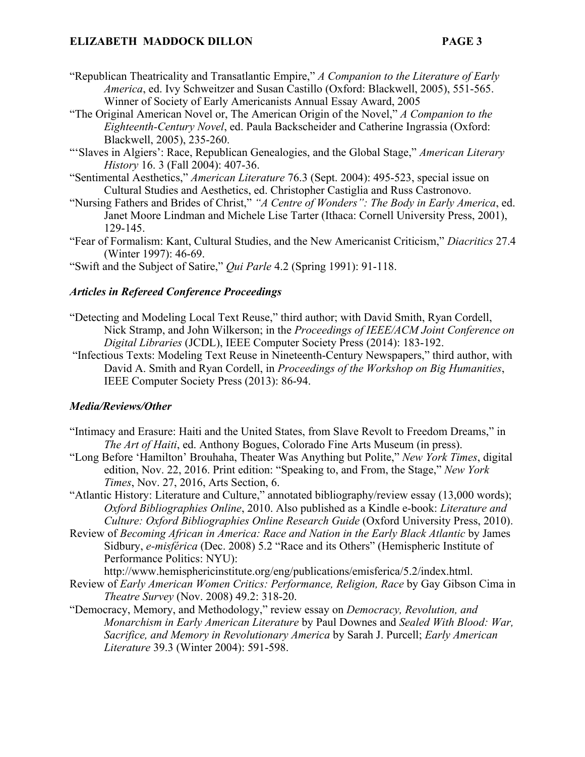- "Republican Theatricality and Transatlantic Empire," *A Companion to the Literature of Early America*, ed. Ivy Schweitzer and Susan Castillo (Oxford: Blackwell, 2005), 551-565. Winner of Society of Early Americanists Annual Essay Award, 2005
- "The Original American Novel or, The American Origin of the Novel," *A Companion to the Eighteenth-Century Novel*, ed. Paula Backscheider and Catherine Ingrassia (Oxford: Blackwell, 2005), 235-260.

"'Slaves in Algiers': Race, Republican Genealogies, and the Global Stage," *American Literary History* 16. 3 (Fall 2004): 407-36.

"Sentimental Aesthetics," *American Literature* 76.3 (Sept. 2004): 495-523, special issue on Cultural Studies and Aesthetics, ed. Christopher Castiglia and Russ Castronovo.

"Nursing Fathers and Brides of Christ," *"A Centre of Wonders": The Body in Early America*, ed. Janet Moore Lindman and Michele Lise Tarter (Ithaca: Cornell University Press, 2001), 129-145.

"Fear of Formalism: Kant, Cultural Studies, and the New Americanist Criticism," *Diacritics* 27.4 (Winter 1997): 46-69.

"Swift and the Subject of Satire," *Qui Parle* 4.2 (Spring 1991): 91-118.

# *Articles in Refereed Conference Proceedings*

- "Detecting and Modeling Local Text Reuse," third author; with David Smith, Ryan Cordell, Nick Stramp, and John Wilkerson; in the *Proceedings of IEEE/ACM Joint Conference on Digital Libraries* (JCDL), IEEE Computer Society Press (2014): 183-192.
- "Infectious Texts: Modeling Text Reuse in Nineteenth-Century Newspapers," third author, with David A. Smith and Ryan Cordell, in *Proceedings of the Workshop on Big Humanities*, IEEE Computer Society Press (2013): 86-94.

#### *Media/Reviews/Other*

- "Intimacy and Erasure: Haiti and the United States, from Slave Revolt to Freedom Dreams," in *The Art of Haiti*, ed. Anthony Bogues, Colorado Fine Arts Museum (in press).
- "Long Before 'Hamilton' Brouhaha, Theater Was Anything but Polite," *New York Times*, digital edition, Nov. 22, 2016. Print edition: "Speaking to, and From, the Stage," *New York Times*, Nov. 27, 2016, Arts Section, 6.

"Atlantic History: Literature and Culture," annotated bibliography/review essay (13,000 words); *Oxford Bibliographies Online*, 2010. Also published as a Kindle e-book: *Literature and Culture: Oxford Bibliographies Online Research Guide* (Oxford University Press, 2010).

Review of *Becoming African in America: Race and Nation in the Early Black Atlantic* by James Sidbury, *e-misférica* (Dec. 2008) 5.2 "Race and its Others" (Hemispheric Institute of Performance Politics: NYU):

http://www.hemisphericinstitute.org/eng/publications/emisferica/5.2/index.html.

- Review of *Early American Women Critics: Performance, Religion, Race* by Gay Gibson Cima in *Theatre Survey* (Nov. 2008) 49.2: 318-20.
- "Democracy, Memory, and Methodology," review essay on *Democracy, Revolution, and Monarchism in Early American Literature* by Paul Downes and *Sealed With Blood: War, Sacrifice, and Memory in Revolutionary America* by Sarah J. Purcell; *Early American Literature* 39.3 (Winter 2004): 591-598.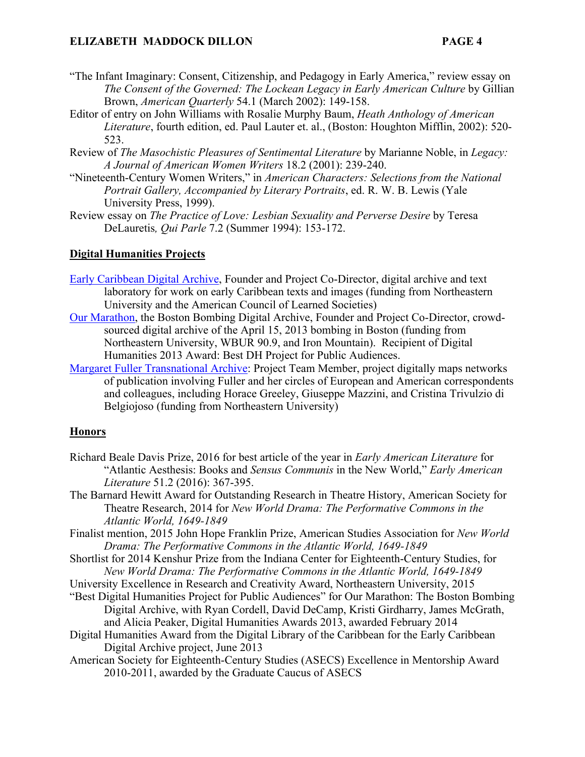- "The Infant Imaginary: Consent, Citizenship, and Pedagogy in Early America," review essay on *The Consent of the Governed: The Lockean Legacy in Early American Culture* by Gillian Brown, *American Quarterly* 54.1 (March 2002): 149-158.
- Editor of entry on John Williams with Rosalie Murphy Baum, *Heath Anthology of American Literature*, fourth edition, ed. Paul Lauter et. al., (Boston: Houghton Mifflin, 2002): 520- 523.
- Review of *The Masochistic Pleasures of Sentimental Literature* by Marianne Noble, in *Legacy: A Journal of American Women Writers* 18.2 (2001): 239-240.
- "Nineteenth-Century Women Writers," in *American Characters: Selections from the National Portrait Gallery, Accompanied by Literary Portraits*, ed. R. W. B. Lewis (Yale University Press, 1999).
- Review essay on *The Practice of Love: Lesbian Sexuality and Perverse Desire* by Teresa DeLauretis*, Qui Parle* 7.2 (Summer 1994): 153-172.

#### **Digital Humanities Projects**

- Early Caribbean Digital Archive, Founder and Project Co-Director, digital archive and text laboratory for work on early Caribbean texts and images (funding from Northeastern University and the American Council of Learned Societies)
- Our Marathon, the Boston Bombing Digital Archive, Founder and Project Co-Director, crowdsourced digital archive of the April 15, 2013 bombing in Boston (funding from Northeastern University, WBUR 90.9, and Iron Mountain). Recipient of Digital Humanities 2013 Award: Best DH Project for Public Audiences.
- Margaret Fuller Transnational Archive: Project Team Member, project digitally maps networks of publication involving Fuller and her circles of European and American correspondents and colleagues, including Horace Greeley, Giuseppe Mazzini, and Cristina Trivulzio di Belgiojoso (funding from Northeastern University)

#### **Honors**

- Richard Beale Davis Prize, 2016 for best article of the year in *Early American Literature* for "Atlantic Aesthesis: Books and *Sensus Communis* in the New World," *Early American Literature* 51.2 (2016): 367-395.
- The Barnard Hewitt Award for Outstanding Research in Theatre History, American Society for Theatre Research, 2014 for *New World Drama: The Performative Commons in the Atlantic World, 1649-1849*
- Finalist mention, 2015 John Hope Franklin Prize, American Studies Association for *New World Drama: The Performative Commons in the Atlantic World, 1649-1849*
- Shortlist for 2014 Kenshur Prize from the Indiana Center for Eighteenth-Century Studies, for *New World Drama: The Performative Commons in the Atlantic World, 1649-1849*
- University Excellence in Research and Creativity Award, Northeastern University, 2015
- "Best Digital Humanities Project for Public Audiences" for Our Marathon: The Boston Bombing Digital Archive, with Ryan Cordell, David DeCamp, Kristi Girdharry, James McGrath, and Alicia Peaker, Digital Humanities Awards 2013, awarded February 2014
- Digital Humanities Award from the Digital Library of the Caribbean for the Early Caribbean Digital Archive project, June 2013
- American Society for Eighteenth-Century Studies (ASECS) Excellence in Mentorship Award 2010-2011, awarded by the Graduate Caucus of ASECS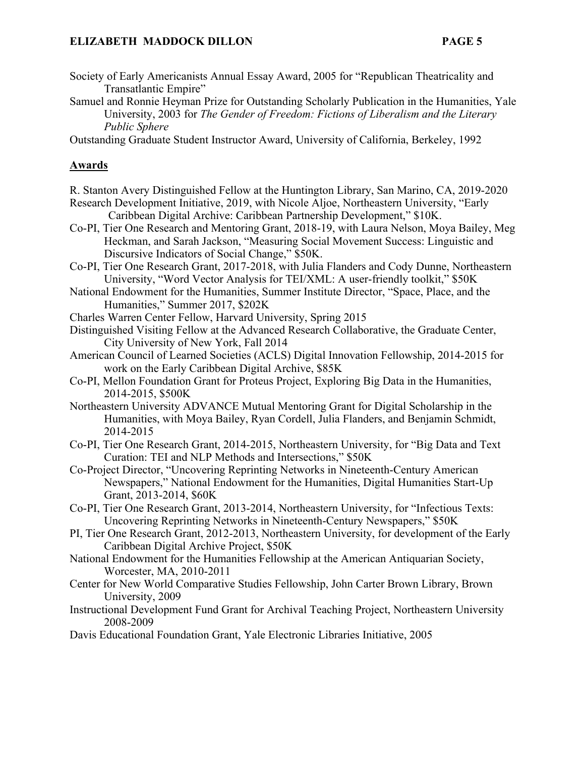- Society of Early Americanists Annual Essay Award, 2005 for "Republican Theatricality and Transatlantic Empire"
- Samuel and Ronnie Heyman Prize for Outstanding Scholarly Publication in the Humanities, Yale University, 2003 for *The Gender of Freedom: Fictions of Liberalism and the Literary Public Sphere*

Outstanding Graduate Student Instructor Award, University of California, Berkeley, 1992

# **Awards**

- R. Stanton Avery Distinguished Fellow at the Huntington Library, San Marino, CA, 2019-2020
- Research Development Initiative, 2019, with Nicole Aljoe, Northeastern University, "Early Caribbean Digital Archive: Caribbean Partnership Development," \$10K.
- Co-PI, Tier One Research and Mentoring Grant, 2018-19, with Laura Nelson, Moya Bailey, Meg Heckman, and Sarah Jackson, "Measuring Social Movement Success: Linguistic and Discursive Indicators of Social Change," \$50K.
- Co-PI, Tier One Research Grant, 2017-2018, with Julia Flanders and Cody Dunne, Northeastern University, "Word Vector Analysis for TEI/XML: A user-friendly toolkit," \$50K
- National Endowment for the Humanities, Summer Institute Director, "Space, Place, and the Humanities," Summer 2017, \$202K
- Charles Warren Center Fellow, Harvard University, Spring 2015
- Distinguished Visiting Fellow at the Advanced Research Collaborative, the Graduate Center, City University of New York, Fall 2014
- American Council of Learned Societies (ACLS) Digital Innovation Fellowship, 2014-2015 for work on the Early Caribbean Digital Archive, \$85K
- Co-PI, Mellon Foundation Grant for Proteus Project, Exploring Big Data in the Humanities, 2014-2015, \$500K
- Northeastern University ADVANCE Mutual Mentoring Grant for Digital Scholarship in the Humanities, with Moya Bailey, Ryan Cordell, Julia Flanders, and Benjamin Schmidt, 2014-2015
- Co-PI, Tier One Research Grant, 2014-2015, Northeastern University, for "Big Data and Text Curation: TEI and NLP Methods and Intersections," \$50K
- Co-Project Director, "Uncovering Reprinting Networks in Nineteenth-Century American Newspapers," National Endowment for the Humanities, Digital Humanities Start-Up Grant, 2013-2014, \$60K
- Co-PI, Tier One Research Grant, 2013-2014, Northeastern University, for "Infectious Texts: Uncovering Reprinting Networks in Nineteenth-Century Newspapers," \$50K
- PI, Tier One Research Grant, 2012-2013, Northeastern University, for development of the Early Caribbean Digital Archive Project, \$50K
- National Endowment for the Humanities Fellowship at the American Antiquarian Society, Worcester, MA, 2010-2011
- Center for New World Comparative Studies Fellowship, John Carter Brown Library, Brown University, 2009
- Instructional Development Fund Grant for Archival Teaching Project, Northeastern University 2008-2009
- Davis Educational Foundation Grant, Yale Electronic Libraries Initiative, 2005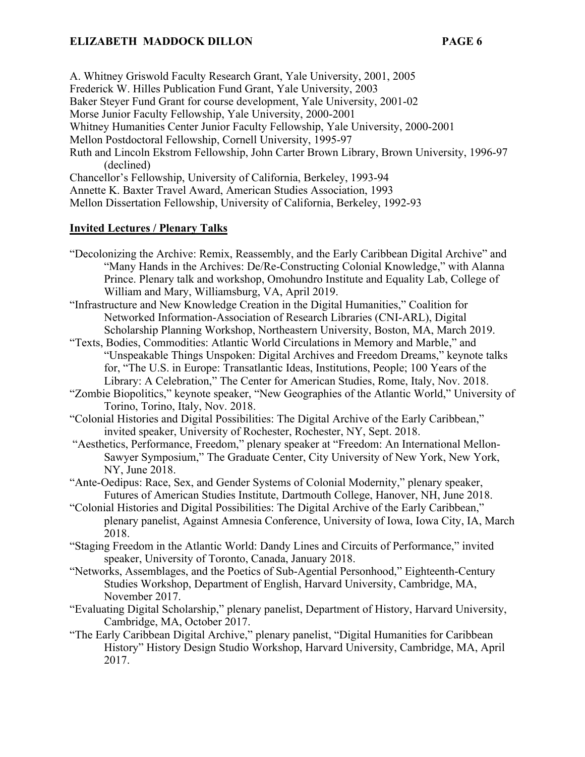A. Whitney Griswold Faculty Research Grant, Yale University, 2001, 2005 Frederick W. Hilles Publication Fund Grant, Yale University, 2003 Baker Steyer Fund Grant for course development, Yale University, 2001-02 Morse Junior Faculty Fellowship, Yale University, 2000-2001 Whitney Humanities Center Junior Faculty Fellowship, Yale University, 2000-2001 Mellon Postdoctoral Fellowship, Cornell University, 1995-97 Ruth and Lincoln Ekstrom Fellowship, John Carter Brown Library, Brown University, 1996-97 (declined) Chancellor's Fellowship, University of California, Berkeley, 1993-94 Annette K. Baxter Travel Award, American Studies Association, 1993 Mellon Dissertation Fellowship, University of California, Berkeley, 1992-93

#### **Invited Lectures / Plenary Talks**

- "Decolonizing the Archive: Remix, Reassembly, and the Early Caribbean Digital Archive" and "Many Hands in the Archives: De/Re-Constructing Colonial Knowledge," with Alanna Prince. Plenary talk and workshop, Omohundro Institute and Equality Lab, College of William and Mary, Williamsburg, VA, April 2019.
- "Infrastructure and New Knowledge Creation in the Digital Humanities," Coalition for Networked Information-Association of Research Libraries (CNI-ARL), Digital Scholarship Planning Workshop, Northeastern University, Boston, MA, March 2019.
- "Texts, Bodies, Commodities: Atlantic World Circulations in Memory and Marble," and "Unspeakable Things Unspoken: Digital Archives and Freedom Dreams," keynote talks for, "The U.S. in Europe: Transatlantic Ideas, Institutions, People; 100 Years of the Library: A Celebration," The Center for American Studies, Rome, Italy, Nov. 2018.
- "Zombie Biopolitics," keynote speaker, "New Geographies of the Atlantic World," University of Torino, Torino, Italy, Nov. 2018.
- "Colonial Histories and Digital Possibilities: The Digital Archive of the Early Caribbean," invited speaker, University of Rochester, Rochester, NY, Sept. 2018.
- "Aesthetics, Performance, Freedom," plenary speaker at "Freedom: An International Mellon-Sawyer Symposium," The Graduate Center, City University of New York, New York, NY, June 2018.
- "Ante-Oedipus: Race, Sex, and Gender Systems of Colonial Modernity," plenary speaker, Futures of American Studies Institute, Dartmouth College, Hanover, NH, June 2018.
- "Colonial Histories and Digital Possibilities: The Digital Archive of the Early Caribbean," plenary panelist, Against Amnesia Conference, University of Iowa, Iowa City, IA, March 2018.
- "Staging Freedom in the Atlantic World: Dandy Lines and Circuits of Performance," invited speaker, University of Toronto, Canada, January 2018.
- "Networks, Assemblages, and the Poetics of Sub-Agential Personhood," Eighteenth-Century Studies Workshop, Department of English, Harvard University, Cambridge, MA, November 2017.
- "Evaluating Digital Scholarship," plenary panelist, Department of History, Harvard University, Cambridge, MA, October 2017.
- "The Early Caribbean Digital Archive," plenary panelist, "Digital Humanities for Caribbean History" History Design Studio Workshop, Harvard University, Cambridge, MA, April 2017.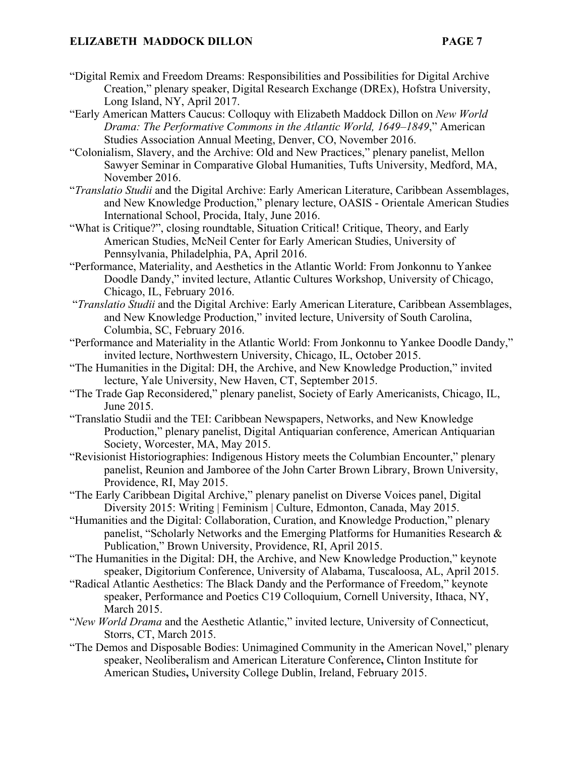- "Digital Remix and Freedom Dreams: Responsibilities and Possibilities for Digital Archive Creation," plenary speaker, Digital Research Exchange (DREx), Hofstra University, Long Island, NY, April 2017.
- "Early American Matters Caucus: Colloquy with Elizabeth Maddock Dillon on *New World Drama: The Performative Commons in the Atlantic World, 1649–1849*," American Studies Association Annual Meeting, Denver, CO, November 2016.
- "Colonialism, Slavery, and the Archive: Old and New Practices," plenary panelist, Mellon Sawyer Seminar in Comparative Global Humanities, Tufts University, Medford, MA, November 2016.
- "*Translatio Studii* and the Digital Archive: Early American Literature, Caribbean Assemblages, and New Knowledge Production," plenary lecture, OASIS - Orientale American Studies International School, Procida, Italy, June 2016.
- "What is Critique?", closing roundtable, Situation Critical! Critique, Theory, and Early American Studies, McNeil Center for Early American Studies, University of Pennsylvania, Philadelphia, PA, April 2016.
- "Performance, Materiality, and Aesthetics in the Atlantic World: From Jonkonnu to Yankee Doodle Dandy," invited lecture, Atlantic Cultures Workshop, University of Chicago, Chicago, IL, February 2016.
- "*Translatio Studii* and the Digital Archive: Early American Literature, Caribbean Assemblages, and New Knowledge Production," invited lecture, University of South Carolina, Columbia, SC, February 2016.
- "Performance and Materiality in the Atlantic World: From Jonkonnu to Yankee Doodle Dandy," invited lecture, Northwestern University, Chicago, IL, October 2015.
- "The Humanities in the Digital: DH, the Archive, and New Knowledge Production," invited lecture, Yale University, New Haven, CT, September 2015.
- "The Trade Gap Reconsidered," plenary panelist, Society of Early Americanists, Chicago, IL, June 2015.
- "Translatio Studii and the TEI: Caribbean Newspapers, Networks, and New Knowledge Production," plenary panelist, Digital Antiquarian conference, American Antiquarian Society, Worcester, MA, May 2015.
- "Revisionist Historiographies: Indigenous History meets the Columbian Encounter," plenary panelist, Reunion and Jamboree of the John Carter Brown Library, Brown University, Providence, RI, May 2015.
- "The Early Caribbean Digital Archive," plenary panelist on Diverse Voices panel, Digital Diversity 2015: Writing | Feminism | Culture, Edmonton, Canada, May 2015.
- "Humanities and the Digital: Collaboration, Curation, and Knowledge Production," plenary panelist, "Scholarly Networks and the Emerging Platforms for Humanities Research & Publication," Brown University, Providence, RI, April 2015.
- "The Humanities in the Digital: DH, the Archive, and New Knowledge Production," keynote speaker, Digitorium Conference, University of Alabama, Tuscaloosa, AL, April 2015.
- "Radical Atlantic Aesthetics: The Black Dandy and the Performance of Freedom," keynote speaker, Performance and Poetics C19 Colloquium, Cornell University, Ithaca, NY, March 2015.
- "*New World Drama* and the Aesthetic Atlantic," invited lecture, University of Connecticut, Storrs, CT, March 2015.
- "The Demos and Disposable Bodies: Unimagined Community in the American Novel," plenary speaker, Neoliberalism and American Literature Conference**,** Clinton Institute for American Studies**,** University College Dublin, Ireland, February 2015.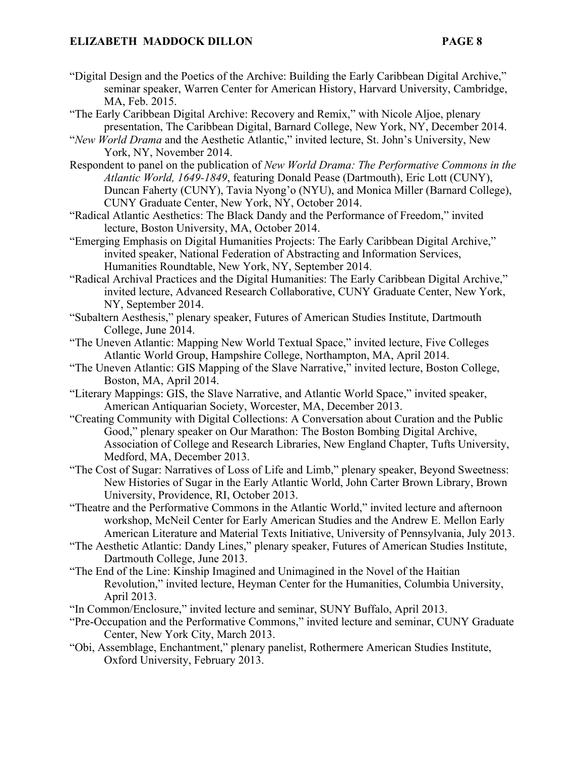- "Digital Design and the Poetics of the Archive: Building the Early Caribbean Digital Archive," seminar speaker, Warren Center for American History, Harvard University, Cambridge, MA, Feb. 2015.
- "The Early Caribbean Digital Archive: Recovery and Remix," with Nicole Aljoe, plenary presentation, The Caribbean Digital, Barnard College, New York, NY, December 2014.
- "*New World Drama* and the Aesthetic Atlantic," invited lecture, St. John's University, New York, NY, November 2014.
- Respondent to panel on the publication of *New World Drama: The Performative Commons in the Atlantic World, 1649-1849*, featuring Donald Pease (Dartmouth), Eric Lott (CUNY), Duncan Faherty (CUNY), Tavia Nyong'o (NYU), and Monica Miller (Barnard College), CUNY Graduate Center, New York, NY, October 2014.
- "Radical Atlantic Aesthetics: The Black Dandy and the Performance of Freedom," invited lecture, Boston University, MA, October 2014.
- "Emerging Emphasis on Digital Humanities Projects: The Early Caribbean Digital Archive," invited speaker, National Federation of Abstracting and Information Services, Humanities Roundtable, New York, NY, September 2014.
- "Radical Archival Practices and the Digital Humanities: The Early Caribbean Digital Archive," invited lecture, Advanced Research Collaborative, CUNY Graduate Center, New York, NY, September 2014.
- "Subaltern Aesthesis," plenary speaker, Futures of American Studies Institute, Dartmouth College, June 2014.
- "The Uneven Atlantic: Mapping New World Textual Space," invited lecture, Five Colleges Atlantic World Group, Hampshire College, Northampton, MA, April 2014.
- "The Uneven Atlantic: GIS Mapping of the Slave Narrative," invited lecture, Boston College, Boston, MA, April 2014.
- "Literary Mappings: GIS, the Slave Narrative, and Atlantic World Space," invited speaker, American Antiquarian Society, Worcester, MA, December 2013.
- "Creating Community with Digital Collections: A Conversation about Curation and the Public Good," plenary speaker on Our Marathon: The Boston Bombing Digital Archive, Association of College and Research Libraries, New England Chapter, Tufts University, Medford, MA, December 2013.
- "The Cost of Sugar: Narratives of Loss of Life and Limb," plenary speaker, Beyond Sweetness: New Histories of Sugar in the Early Atlantic World, John Carter Brown Library, Brown University, Providence, RI, October 2013.
- "Theatre and the Performative Commons in the Atlantic World," invited lecture and afternoon workshop, McNeil Center for Early American Studies and the Andrew E. Mellon Early American Literature and Material Texts Initiative, University of Pennsylvania, July 2013.
- "The Aesthetic Atlantic: Dandy Lines," plenary speaker, Futures of American Studies Institute, Dartmouth College, June 2013.
- "The End of the Line: Kinship Imagined and Unimagined in the Novel of the Haitian Revolution," invited lecture, Heyman Center for the Humanities, Columbia University, April 2013.
- "In Common/Enclosure," invited lecture and seminar, SUNY Buffalo, April 2013.
- "Pre-Occupation and the Performative Commons," invited lecture and seminar, CUNY Graduate Center, New York City, March 2013.
- "Obi, Assemblage, Enchantment," plenary panelist, Rothermere American Studies Institute, Oxford University, February 2013.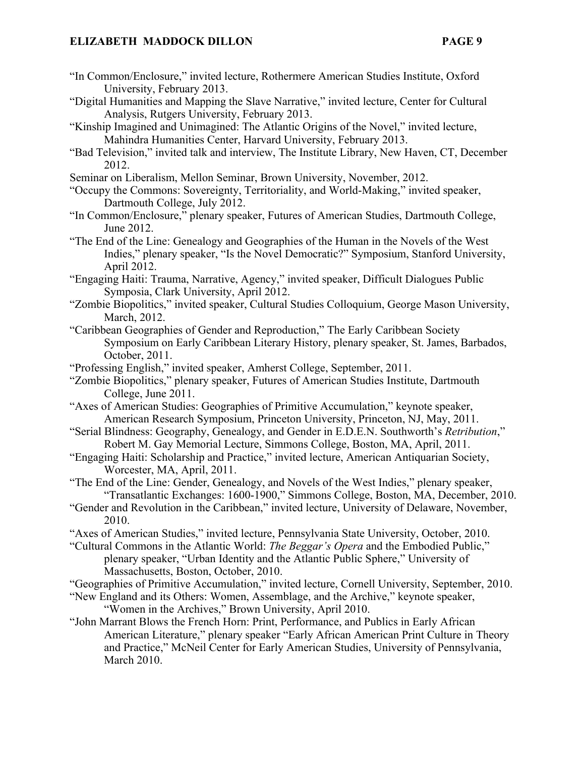- "In Common/Enclosure," invited lecture, Rothermere American Studies Institute, Oxford University, February 2013.
- "Digital Humanities and Mapping the Slave Narrative," invited lecture, Center for Cultural Analysis, Rutgers University, February 2013.
- "Kinship Imagined and Unimagined: The Atlantic Origins of the Novel," invited lecture, Mahindra Humanities Center, Harvard University, February 2013.
- "Bad Television," invited talk and interview, The Institute Library, New Haven, CT, December 2012.
- Seminar on Liberalism, Mellon Seminar, Brown University, November, 2012.
- "Occupy the Commons: Sovereignty, Territoriality, and World-Making," invited speaker, Dartmouth College, July 2012.
- "In Common/Enclosure," plenary speaker, Futures of American Studies, Dartmouth College, June 2012.
- "The End of the Line: Genealogy and Geographies of the Human in the Novels of the West Indies," plenary speaker, "Is the Novel Democratic?" Symposium, Stanford University, April 2012.
- "Engaging Haiti: Trauma, Narrative, Agency," invited speaker, Difficult Dialogues Public Symposia, Clark University, April 2012.
- "Zombie Biopolitics," invited speaker, Cultural Studies Colloquium, George Mason University, March, 2012.
- "Caribbean Geographies of Gender and Reproduction," The Early Caribbean Society Symposium on Early Caribbean Literary History, plenary speaker, St. James, Barbados, October, 2011.
- "Professing English," invited speaker, Amherst College, September, 2011.
- "Zombie Biopolitics," plenary speaker, Futures of American Studies Institute, Dartmouth College, June 2011.
- "Axes of American Studies: Geographies of Primitive Accumulation," keynote speaker, American Research Symposium, Princeton University, Princeton, NJ, May, 2011.
- "Serial Blindness: Geography, Genealogy, and Gender in E.D.E.N. Southworth's *Retribution*," Robert M. Gay Memorial Lecture, Simmons College, Boston, MA, April, 2011.
- "Engaging Haiti: Scholarship and Practice," invited lecture, American Antiquarian Society, Worcester, MA, April, 2011.
- "The End of the Line: Gender, Genealogy, and Novels of the West Indies," plenary speaker, "Transatlantic Exchanges: 1600-1900," Simmons College, Boston, MA, December, 2010.
- "Gender and Revolution in the Caribbean," invited lecture, University of Delaware, November, 2010.
- "Axes of American Studies," invited lecture, Pennsylvania State University, October, 2010.
- "Cultural Commons in the Atlantic World: *The Beggar's Opera* and the Embodied Public," plenary speaker, "Urban Identity and the Atlantic Public Sphere," University of Massachusetts, Boston, October, 2010.
- "Geographies of Primitive Accumulation," invited lecture, Cornell University, September, 2010.
- "New England and its Others: Women, Assemblage, and the Archive," keynote speaker, "Women in the Archives," Brown University, April 2010.
- "John Marrant Blows the French Horn: Print, Performance, and Publics in Early African American Literature," plenary speaker "Early African American Print Culture in Theory and Practice," McNeil Center for Early American Studies, University of Pennsylvania, March 2010.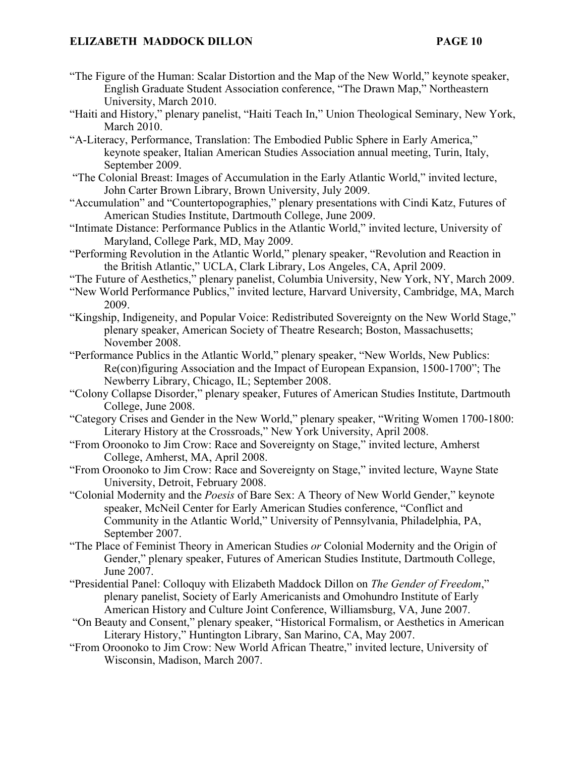- "The Figure of the Human: Scalar Distortion and the Map of the New World," keynote speaker, English Graduate Student Association conference, "The Drawn Map," Northeastern University, March 2010.
- "Haiti and History," plenary panelist, "Haiti Teach In," Union Theological Seminary, New York, March 2010.
- "A-Literacy, Performance, Translation: The Embodied Public Sphere in Early America," keynote speaker, Italian American Studies Association annual meeting, Turin, Italy, September 2009.
- "The Colonial Breast: Images of Accumulation in the Early Atlantic World," invited lecture, John Carter Brown Library, Brown University, July 2009.
- "Accumulation" and "Countertopographies," plenary presentations with Cindi Katz, Futures of American Studies Institute, Dartmouth College, June 2009.
- "Intimate Distance: Performance Publics in the Atlantic World," invited lecture, University of Maryland, College Park, MD, May 2009.
- "Performing Revolution in the Atlantic World," plenary speaker, "Revolution and Reaction in the British Atlantic," UCLA, Clark Library, Los Angeles, CA, April 2009.
- "The Future of Aesthetics," plenary panelist, Columbia University, New York, NY, March 2009.
- "New World Performance Publics," invited lecture, Harvard University, Cambridge, MA, March 2009.
- "Kingship, Indigeneity, and Popular Voice: Redistributed Sovereignty on the New World Stage," plenary speaker, American Society of Theatre Research; Boston, Massachusetts; November 2008.
- "Performance Publics in the Atlantic World," plenary speaker, "New Worlds, New Publics: Re(con)figuring Association and the Impact of European Expansion, 1500-1700"; The Newberry Library, Chicago, IL; September 2008.
- "Colony Collapse Disorder," plenary speaker, Futures of American Studies Institute, Dartmouth College, June 2008.
- "Category Crises and Gender in the New World," plenary speaker, "Writing Women 1700-1800: Literary History at the Crossroads," New York University, April 2008.
- "From Oroonoko to Jim Crow: Race and Sovereignty on Stage," invited lecture, Amherst College, Amherst, MA, April 2008.
- "From Oroonoko to Jim Crow: Race and Sovereignty on Stage," invited lecture, Wayne State University, Detroit, February 2008.
- "Colonial Modernity and the *Poesis* of Bare Sex: A Theory of New World Gender," keynote speaker, McNeil Center for Early American Studies conference, "Conflict and Community in the Atlantic World," University of Pennsylvania, Philadelphia, PA, September 2007.
- "The Place of Feminist Theory in American Studies *or* Colonial Modernity and the Origin of Gender," plenary speaker, Futures of American Studies Institute, Dartmouth College, June 2007.
- "Presidential Panel: Colloquy with Elizabeth Maddock Dillon on *The Gender of Freedom*," plenary panelist, Society of Early Americanists and Omohundro Institute of Early American History and Culture Joint Conference, Williamsburg, VA, June 2007.
- "On Beauty and Consent," plenary speaker, "Historical Formalism, or Aesthetics in American Literary History," Huntington Library, San Marino, CA, May 2007.
- "From Oroonoko to Jim Crow: New World African Theatre," invited lecture, University of Wisconsin, Madison, March 2007.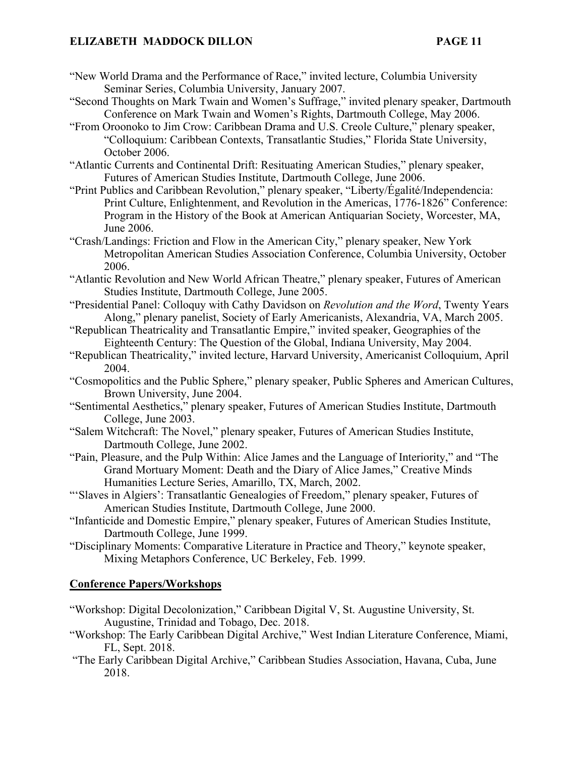- "New World Drama and the Performance of Race," invited lecture, Columbia University Seminar Series, Columbia University, January 2007.
- "Second Thoughts on Mark Twain and Women's Suffrage," invited plenary speaker, Dartmouth Conference on Mark Twain and Women's Rights, Dartmouth College, May 2006.
- "From Oroonoko to Jim Crow: Caribbean Drama and U.S. Creole Culture," plenary speaker, "Colloquium: Caribbean Contexts, Transatlantic Studies," Florida State University, October 2006.
- "Atlantic Currents and Continental Drift: Resituating American Studies," plenary speaker, Futures of American Studies Institute, Dartmouth College, June 2006.
- "Print Publics and Caribbean Revolution," plenary speaker, "Liberty/Égalité/Independencia: Print Culture, Enlightenment, and Revolution in the Americas, 1776-1826" Conference: Program in the History of the Book at American Antiquarian Society, Worcester, MA, June 2006.
- "Crash/Landings: Friction and Flow in the American City," plenary speaker, New York Metropolitan American Studies Association Conference, Columbia University, October 2006.
- "Atlantic Revolution and New World African Theatre," plenary speaker, Futures of American Studies Institute, Dartmouth College, June 2005.
- "Presidential Panel: Colloquy with Cathy Davidson on *Revolution and the Word*, Twenty Years Along," plenary panelist, Society of Early Americanists, Alexandria, VA, March 2005.
- "Republican Theatricality and Transatlantic Empire," invited speaker, Geographies of the Eighteenth Century: The Question of the Global, Indiana University, May 2004.
- "Republican Theatricality," invited lecture, Harvard University, Americanist Colloquium, April 2004.
- "Cosmopolitics and the Public Sphere," plenary speaker, Public Spheres and American Cultures, Brown University, June 2004.
- "Sentimental Aesthetics," plenary speaker, Futures of American Studies Institute, Dartmouth College, June 2003.
- "Salem Witchcraft: The Novel," plenary speaker, Futures of American Studies Institute, Dartmouth College, June 2002.
- "Pain, Pleasure, and the Pulp Within: Alice James and the Language of Interiority," and "The Grand Mortuary Moment: Death and the Diary of Alice James," Creative Minds Humanities Lecture Series, Amarillo, TX, March, 2002.
- "'Slaves in Algiers': Transatlantic Genealogies of Freedom," plenary speaker, Futures of American Studies Institute, Dartmouth College, June 2000.
- "Infanticide and Domestic Empire," plenary speaker, Futures of American Studies Institute, Dartmouth College, June 1999.
- "Disciplinary Moments: Comparative Literature in Practice and Theory," keynote speaker, Mixing Metaphors Conference, UC Berkeley, Feb. 1999.

# **Conference Papers/Workshops**

- "Workshop: Digital Decolonization," Caribbean Digital V, St. Augustine University, St. Augustine, Trinidad and Tobago, Dec. 2018.
- "Workshop: The Early Caribbean Digital Archive," West Indian Literature Conference, Miami, FL, Sept. 2018.
- "The Early Caribbean Digital Archive," Caribbean Studies Association, Havana, Cuba, June 2018.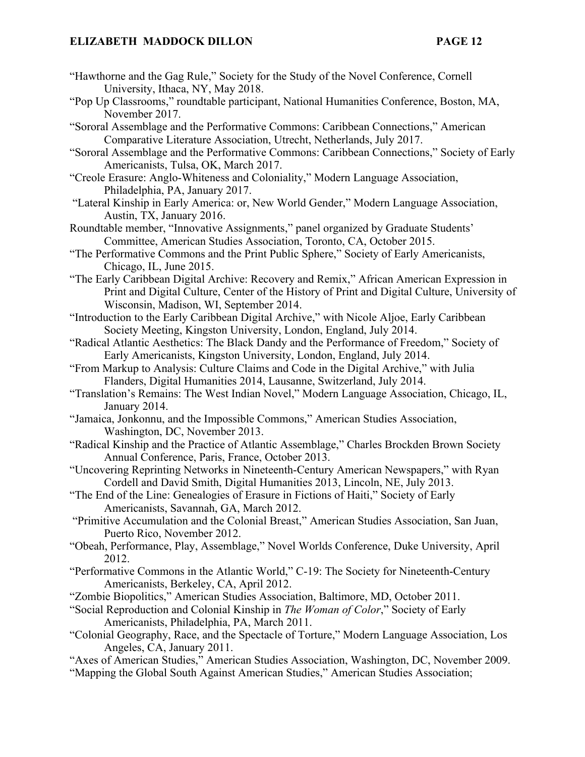- "Hawthorne and the Gag Rule," Society for the Study of the Novel Conference, Cornell University, Ithaca, NY, May 2018.
- "Pop Up Classrooms," roundtable participant, National Humanities Conference, Boston, MA, November 2017.
- "Sororal Assemblage and the Performative Commons: Caribbean Connections," American Comparative Literature Association, Utrecht, Netherlands, July 2017.
- "Sororal Assemblage and the Performative Commons: Caribbean Connections," Society of Early Americanists, Tulsa, OK, March 2017.
- "Creole Erasure: Anglo-Whiteness and Coloniality," Modern Language Association, Philadelphia, PA, January 2017.
- "Lateral Kinship in Early America: or, New World Gender," Modern Language Association, Austin, TX, January 2016.
- Roundtable member, "Innovative Assignments," panel organized by Graduate Students' Committee, American Studies Association, Toronto, CA, October 2015.
- "The Performative Commons and the Print Public Sphere," Society of Early Americanists, Chicago, IL, June 2015.
- "The Early Caribbean Digital Archive: Recovery and Remix," African American Expression in Print and Digital Culture, Center of the History of Print and Digital Culture, University of Wisconsin, Madison, WI, September 2014.
- "Introduction to the Early Caribbean Digital Archive," with Nicole Aljoe, Early Caribbean Society Meeting, Kingston University, London, England, July 2014.
- "Radical Atlantic Aesthetics: The Black Dandy and the Performance of Freedom," Society of Early Americanists, Kingston University, London, England, July 2014.
- "From Markup to Analysis: Culture Claims and Code in the Digital Archive," with Julia Flanders, Digital Humanities 2014, Lausanne, Switzerland, July 2014.
- "Translation's Remains: The West Indian Novel," Modern Language Association, Chicago, IL, January 2014.
- "Jamaica, Jonkonnu, and the Impossible Commons," American Studies Association, Washington, DC, November 2013.
- "Radical Kinship and the Practice of Atlantic Assemblage," Charles Brockden Brown Society Annual Conference, Paris, France, October 2013.
- "Uncovering Reprinting Networks in Nineteenth-Century American Newspapers," with Ryan Cordell and David Smith, Digital Humanities 2013, Lincoln, NE, July 2013.
- "The End of the Line: Genealogies of Erasure in Fictions of Haiti," Society of Early Americanists, Savannah, GA, March 2012.
- "Primitive Accumulation and the Colonial Breast," American Studies Association, San Juan, Puerto Rico, November 2012.
- "Obeah, Performance, Play, Assemblage," Novel Worlds Conference, Duke University, April 2012.
- "Performative Commons in the Atlantic World," C-19: The Society for Nineteenth-Century Americanists, Berkeley, CA, April 2012.
- "Zombie Biopolitics," American Studies Association, Baltimore, MD, October 2011.
- "Social Reproduction and Colonial Kinship in *The Woman of Color*," Society of Early Americanists, Philadelphia, PA, March 2011.
- "Colonial Geography, Race, and the Spectacle of Torture," Modern Language Association, Los Angeles, CA, January 2011.
- "Axes of American Studies," American Studies Association, Washington, DC, November 2009. "Mapping the Global South Against American Studies," American Studies Association;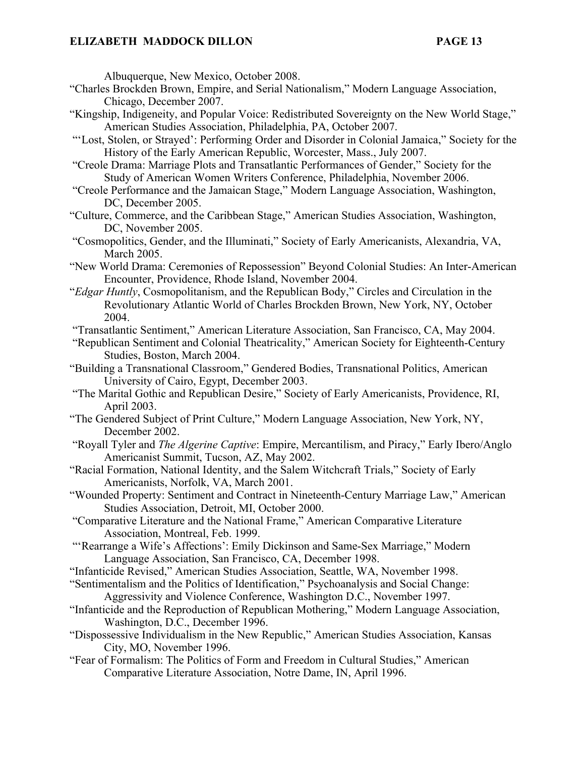Albuquerque, New Mexico, October 2008.

- "Charles Brockden Brown, Empire, and Serial Nationalism," Modern Language Association, Chicago, December 2007.
- "Kingship, Indigeneity, and Popular Voice: Redistributed Sovereignty on the New World Stage," American Studies Association, Philadelphia, PA, October 2007.
- "'Lost, Stolen, or Strayed': Performing Order and Disorder in Colonial Jamaica," Society for the History of the Early American Republic, Worcester, Mass., July 2007.
- "Creole Drama: Marriage Plots and Transatlantic Performances of Gender," Society for the Study of American Women Writers Conference, Philadelphia, November 2006.
- "Creole Performance and the Jamaican Stage," Modern Language Association, Washington, DC, December 2005.
- "Culture, Commerce, and the Caribbean Stage," American Studies Association, Washington, DC, November 2005.
- "Cosmopolitics, Gender, and the Illuminati," Society of Early Americanists, Alexandria, VA, March 2005.
- "New World Drama: Ceremonies of Repossession" Beyond Colonial Studies: An Inter-American Encounter, Providence, Rhode Island, November 2004.
- "*Edgar Huntly*, Cosmopolitanism, and the Republican Body," Circles and Circulation in the Revolutionary Atlantic World of Charles Brockden Brown, New York, NY, October 2004.
- "Transatlantic Sentiment," American Literature Association, San Francisco, CA, May 2004.
- "Republican Sentiment and Colonial Theatricality," American Society for Eighteenth-Century Studies, Boston, March 2004.
- "Building a Transnational Classroom," Gendered Bodies, Transnational Politics, American University of Cairo, Egypt, December 2003.
- "The Marital Gothic and Republican Desire," Society of Early Americanists, Providence, RI, April 2003.
- "The Gendered Subject of Print Culture," Modern Language Association, New York, NY, December 2002.
- "Royall Tyler and *The Algerine Captive*: Empire, Mercantilism, and Piracy," Early Ibero/Anglo Americanist Summit, Tucson, AZ, May 2002.
- "Racial Formation, National Identity, and the Salem Witchcraft Trials," Society of Early Americanists, Norfolk, VA, March 2001.
- "Wounded Property: Sentiment and Contract in Nineteenth-Century Marriage Law," American Studies Association, Detroit, MI, October 2000.
- "Comparative Literature and the National Frame," American Comparative Literature Association, Montreal, Feb. 1999.
- "'Rearrange a Wife's Affections': Emily Dickinson and Same-Sex Marriage," Modern Language Association, San Francisco, CA, December 1998.
- "Infanticide Revised," American Studies Association, Seattle, WA, November 1998.
- "Sentimentalism and the Politics of Identification," Psychoanalysis and Social Change: Aggressivity and Violence Conference, Washington D.C., November 1997.
- "Infanticide and the Reproduction of Republican Mothering," Modern Language Association, Washington, D.C., December 1996.
- "Dispossessive Individualism in the New Republic," American Studies Association, Kansas City, MO, November 1996.
- "Fear of Formalism: The Politics of Form and Freedom in Cultural Studies," American Comparative Literature Association, Notre Dame, IN, April 1996.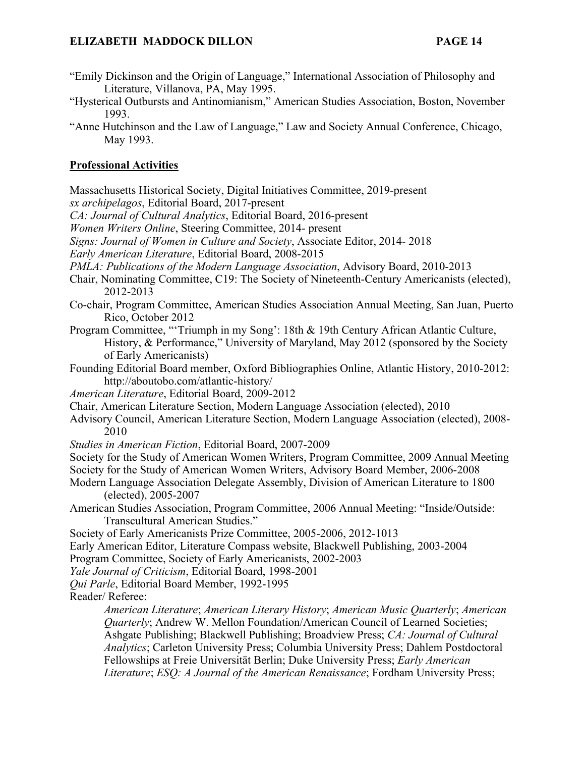- "Emily Dickinson and the Origin of Language," International Association of Philosophy and Literature, Villanova, PA, May 1995.
- "Hysterical Outbursts and Antinomianism," American Studies Association, Boston, November 1993.
- "Anne Hutchinson and the Law of Language," Law and Society Annual Conference, Chicago, May 1993.

# **Professional Activities**

Massachusetts Historical Society, Digital Initiatives Committee, 2019-present *sx archipelagos*, Editorial Board, 2017-present *CA: Journal of Cultural Analytics*, Editorial Board, 2016-present

*Women Writers Online*, Steering Committee, 2014- present

*Signs: Journal of Women in Culture and Society*, Associate Editor, 2014- 2018

*Early American Literature*, Editorial Board, 2008-2015

*PMLA: Publications of the Modern Language Association*, Advisory Board, 2010-2013

Chair, Nominating Committee, C19: The Society of Nineteenth-Century Americanists (elected), 2012-2013

- Co-chair, Program Committee, American Studies Association Annual Meeting, San Juan, Puerto Rico, October 2012
- Program Committee, "'Triumph in my Song': 18th & 19th Century African Atlantic Culture, History, & Performance," University of Maryland, May 2012 (sponsored by the Society of Early Americanists)
- Founding Editorial Board member, Oxford Bibliographies Online, Atlantic History, 2010-2012: http://aboutobo.com/atlantic-history/

*American Literature*, Editorial Board, 2009-2012

- Chair, American Literature Section, Modern Language Association (elected), 2010
- Advisory Council, American Literature Section, Modern Language Association (elected), 2008- 2010
- *Studies in American Fiction*, Editorial Board, 2007-2009

Society for the Study of American Women Writers, Program Committee, 2009 Annual Meeting Society for the Study of American Women Writers, Advisory Board Member, 2006-2008

- Modern Language Association Delegate Assembly, Division of American Literature to 1800 (elected), 2005-2007
- American Studies Association, Program Committee, 2006 Annual Meeting: "Inside/Outside: Transcultural American Studies."
- Society of Early Americanists Prize Committee, 2005-2006, 2012-1013
- Early American Editor, Literature Compass website, Blackwell Publishing, 2003-2004

Program Committee, Society of Early Americanists, 2002-2003

*Yale Journal of Criticism*, Editorial Board, 1998-2001

*Qui Parle*, Editorial Board Member, 1992-1995

Reader/ Referee:

*American Literature*; *American Literary History*; *American Music Quarterly*; *American Quarterly*; Andrew W. Mellon Foundation/American Council of Learned Societies; Ashgate Publishing; Blackwell Publishing; Broadview Press; *CA: Journal of Cultural Analytics*; Carleton University Press; Columbia University Press; Dahlem Postdoctoral Fellowships at Freie Universität Berlin; Duke University Press; *Early American Literature*; *ESQ: A Journal of the American Renaissance*; Fordham University Press;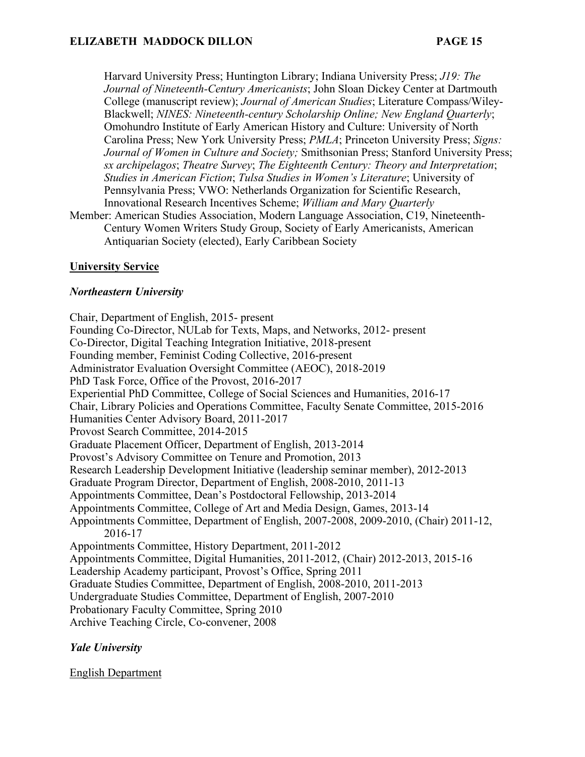Harvard University Press; Huntington Library; Indiana University Press; *J19: The Journal of Nineteenth-Century Americanists*; John Sloan Dickey Center at Dartmouth College (manuscript review); *Journal of American Studies*; Literature Compass/Wiley-Blackwell; *NINES: Nineteenth-century Scholarship Online; New England Quarterly*; Omohundro Institute of Early American History and Culture: University of North Carolina Press; New York University Press; *PMLA*; Princeton University Press; *Signs: Journal of Women in Culture and Society;* Smithsonian Press; Stanford University Press; *sx archipelagos*; *Theatre Survey*; *The Eighteenth Century: Theory and Interpretation*; *Studies in American Fiction*; *Tulsa Studies in Women's Literature*; University of Pennsylvania Press; VWO: Netherlands Organization for Scientific Research, Innovational Research Incentives Scheme; *William and Mary Quarterly*

Member: American Studies Association, Modern Language Association, C19, Nineteenth-Century Women Writers Study Group, Society of Early Americanists, American Antiquarian Society (elected), Early Caribbean Society

# **University Service**

# *Northeastern University*

Chair, Department of English, 2015- present Founding Co-Director, NULab for Texts, Maps, and Networks, 2012- present Co-Director, Digital Teaching Integration Initiative, 2018-present Founding member, Feminist Coding Collective, 2016-present Administrator Evaluation Oversight Committee (AEOC), 2018-2019 PhD Task Force, Office of the Provost, 2016-2017 Experiential PhD Committee, College of Social Sciences and Humanities, 2016-17 Chair, Library Policies and Operations Committee, Faculty Senate Committee, 2015-2016 Humanities Center Advisory Board, 2011-2017 Provost Search Committee, 2014-2015 Graduate Placement Officer, Department of English, 2013-2014 Provost's Advisory Committee on Tenure and Promotion, 2013 Research Leadership Development Initiative (leadership seminar member), 2012-2013 Graduate Program Director, Department of English, 2008-2010, 2011-13 Appointments Committee, Dean's Postdoctoral Fellowship, 2013-2014 Appointments Committee, College of Art and Media Design, Games, 2013-14 Appointments Committee, Department of English, 2007-2008, 2009-2010, (Chair) 2011-12, 2016-17 Appointments Committee, History Department, 2011-2012 Appointments Committee, Digital Humanities, 2011-2012, (Chair) 2012-2013, 2015-16 Leadership Academy participant, Provost's Office, Spring 2011 Graduate Studies Committee, Department of English, 2008-2010, 2011-2013 Undergraduate Studies Committee, Department of English, 2007-2010 Probationary Faculty Committee, Spring 2010 Archive Teaching Circle, Co-convener, 2008

# *Yale University*

English Department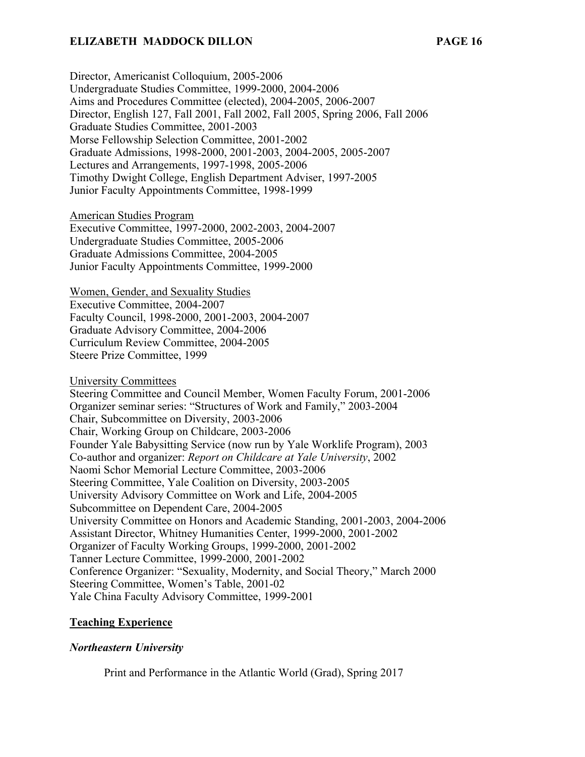Director, Americanist Colloquium, 2005-2006 Undergraduate Studies Committee, 1999-2000, 2004-2006 Aims and Procedures Committee (elected), 2004-2005, 2006-2007 Director, English 127, Fall 2001, Fall 2002, Fall 2005, Spring 2006, Fall 2006 Graduate Studies Committee, 2001-2003 Morse Fellowship Selection Committee, 2001-2002 Graduate Admissions, 1998-2000, 2001-2003, 2004-2005, 2005-2007 Lectures and Arrangements, 1997-1998, 2005-2006 Timothy Dwight College, English Department Adviser, 1997-2005 Junior Faculty Appointments Committee, 1998-1999

American Studies Program

Executive Committee, 1997-2000, 2002-2003, 2004-2007 Undergraduate Studies Committee, 2005-2006 Graduate Admissions Committee, 2004-2005 Junior Faculty Appointments Committee, 1999-2000

Women, Gender, and Sexuality Studies

Executive Committee, 2004-2007 Faculty Council, 1998-2000, 2001-2003, 2004-2007 Graduate Advisory Committee, 2004-2006 Curriculum Review Committee, 2004-2005 Steere Prize Committee, 1999

University Committees

Steering Committee and Council Member, Women Faculty Forum, 2001-2006 Organizer seminar series: "Structures of Work and Family," 2003-2004 Chair, Subcommittee on Diversity, 2003-2006 Chair, Working Group on Childcare, 2003-2006 Founder Yale Babysitting Service (now run by Yale Worklife Program), 2003 Co-author and organizer: *Report on Childcare at Yale University*, 2002 Naomi Schor Memorial Lecture Committee, 2003-2006 Steering Committee, Yale Coalition on Diversity, 2003-2005 University Advisory Committee on Work and Life, 2004-2005 Subcommittee on Dependent Care, 2004-2005 University Committee on Honors and Academic Standing, 2001-2003, 2004-2006 Assistant Director, Whitney Humanities Center, 1999-2000, 2001-2002 Organizer of Faculty Working Groups, 1999-2000, 2001-2002 Tanner Lecture Committee, 1999-2000, 2001-2002 Conference Organizer: "Sexuality, Modernity, and Social Theory," March 2000 Steering Committee, Women's Table, 2001-02 Yale China Faculty Advisory Committee, 1999-2001

#### **Teaching Experience**

#### *Northeastern University*

Print and Performance in the Atlantic World (Grad), Spring 2017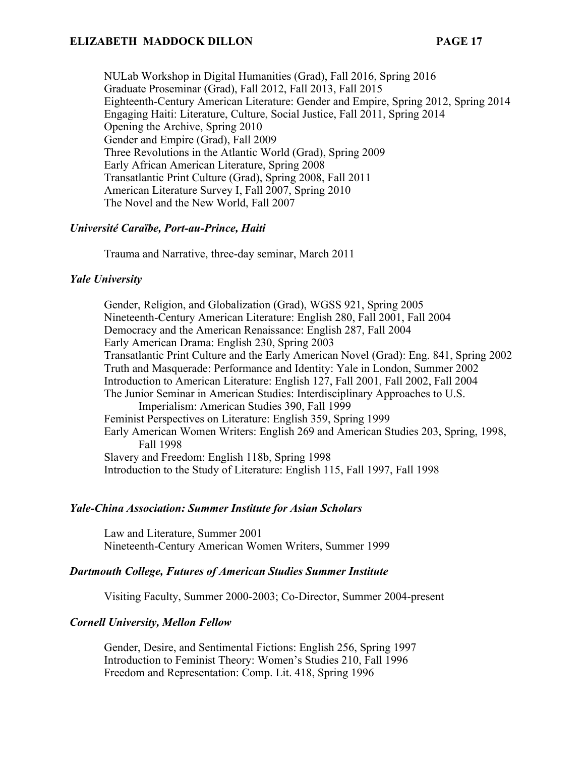NULab Workshop in Digital Humanities (Grad), Fall 2016, Spring 2016 Graduate Proseminar (Grad), Fall 2012, Fall 2013, Fall 2015 Eighteenth-Century American Literature: Gender and Empire, Spring 2012, Spring 2014 Engaging Haiti: Literature, Culture, Social Justice, Fall 2011, Spring 2014 Opening the Archive, Spring 2010 Gender and Empire (Grad), Fall 2009 Three Revolutions in the Atlantic World (Grad), Spring 2009 Early African American Literature, Spring 2008 Transatlantic Print Culture (Grad), Spring 2008, Fall 2011 American Literature Survey I, Fall 2007, Spring 2010 The Novel and the New World, Fall 2007

#### *Université Caraïbe, Port-au-Prince, Haiti*

Trauma and Narrative, three-day seminar, March 2011

#### *Yale University*

Gender, Religion, and Globalization (Grad), WGSS 921, Spring 2005 Nineteenth-Century American Literature: English 280, Fall 2001, Fall 2004 Democracy and the American Renaissance: English 287, Fall 2004 Early American Drama: English 230, Spring 2003 Transatlantic Print Culture and the Early American Novel (Grad): Eng. 841, Spring 2002 Truth and Masquerade: Performance and Identity: Yale in London, Summer 2002 Introduction to American Literature: English 127, Fall 2001, Fall 2002, Fall 2004 The Junior Seminar in American Studies: Interdisciplinary Approaches to U.S. Imperialism: American Studies 390, Fall 1999 Feminist Perspectives on Literature: English 359, Spring 1999 Early American Women Writers: English 269 and American Studies 203, Spring, 1998, Fall 1998 Slavery and Freedom: English 118b, Spring 1998 Introduction to the Study of Literature: English 115, Fall 1997, Fall 1998

#### *Yale-China Association: Summer Institute for Asian Scholars*

Law and Literature, Summer 2001 Nineteenth-Century American Women Writers, Summer 1999

#### *Dartmouth College, Futures of American Studies Summer Institute*

Visiting Faculty, Summer 2000-2003; Co-Director, Summer 2004-present

#### *Cornell University, Mellon Fellow*

Gender, Desire, and Sentimental Fictions: English 256, Spring 1997 Introduction to Feminist Theory: Women's Studies 210, Fall 1996 Freedom and Representation: Comp. Lit. 418, Spring 1996